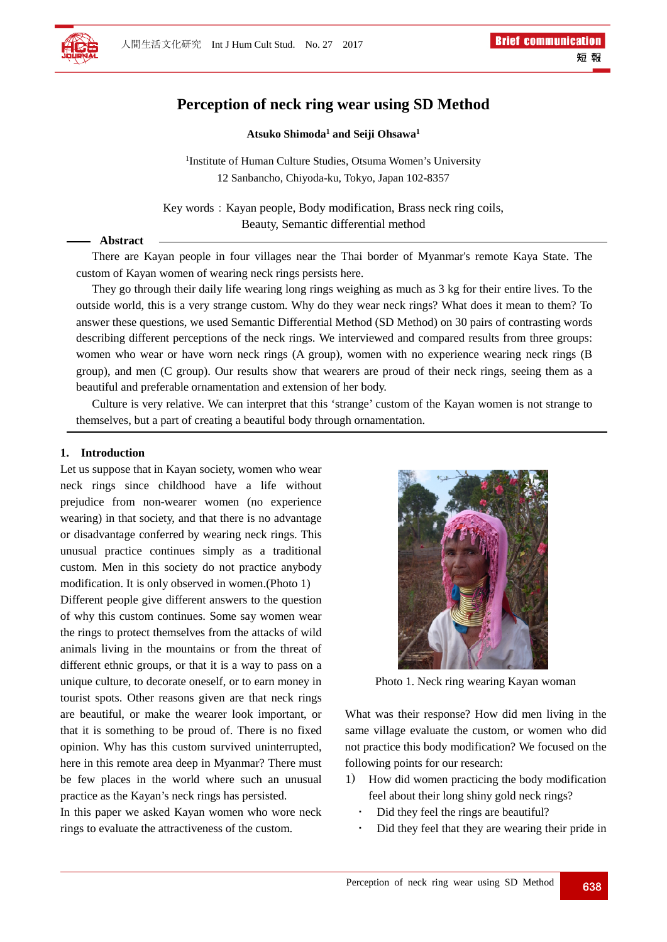

# **Perception of neck ring wear using SD Method**

#### **Atsuko Shimoda1 and Seiji Ohsawa1**

<sup>1</sup>Institute of Human Culture Studies, Otsuma Women's University 12 Sanbancho, Chiyoda-ku, Tokyo, Japan 102-8357

Key words: Kayan people, Body modification, Brass neck ring coils, Beauty, Semantic differential method

#### **Abstract**

There are Kayan people in four villages near the Thai border of Myanmar's remote Kaya State. The custom of Kayan women of wearing neck rings persists here.

They go through their daily life wearing long rings weighing as much as 3 kg for their entire lives. To the outside world, this is a very strange custom. Why do they wear neck rings? What does it mean to them? To answer these questions, we used Semantic Differential Method (SD Method) on 30 pairs of contrasting words describing different perceptions of the neck rings. We interviewed and compared results from three groups: women who wear or have worn neck rings (A group), women with no experience wearing neck rings (B group), and men (C group). Our results show that wearers are proud of their neck rings, seeing them as a beautiful and preferable ornamentation and extension of her body.

Culture is very relative. We can interpret that this 'strange' custom of the Kayan women is not strange to themselves, but a part of creating a beautiful body through ornamentation.

#### **1. Introduction**

Let us suppose that in Kayan society, women who wear neck rings since childhood have a life without prejudice from non-wearer women (no experience wearing) in that society, and that there is no advantage or disadvantage conferred by wearing neck rings. This unusual practice continues simply as a traditional custom. Men in this society do not practice anybody modification. It is only observed in women.(Photo 1)

Different people give different answers to the question of why this custom continues. Some say women wear the rings to protect themselves from the attacks of wild animals living in the mountains or from the threat of different ethnic groups, or that it is a way to pass on a unique culture, to decorate oneself, or to earn money in tourist spots. Other reasons given are that neck rings are beautiful, or make the wearer look important, or that it is something to be proud of. There is no fixed opinion. Why has this custom survived uninterrupted, here in this remote area deep in Myanmar? There must be few places in the world where such an unusual practice as the Kayan's neck rings has persisted.

In this paper we asked Kayan women who wore neck rings to evaluate the attractiveness of the custom.



Photo 1. Neck ring wearing Kayan woman

What was their response? How did men living in the same village evaluate the custom, or women who did not practice this body modification? We focused on the following points for our research:

- 1) How did women practicing the body modification feel about their long shiny gold neck rings?
	- Did they feel the rings are beautiful?
	- Did they feel that they are wearing their pride in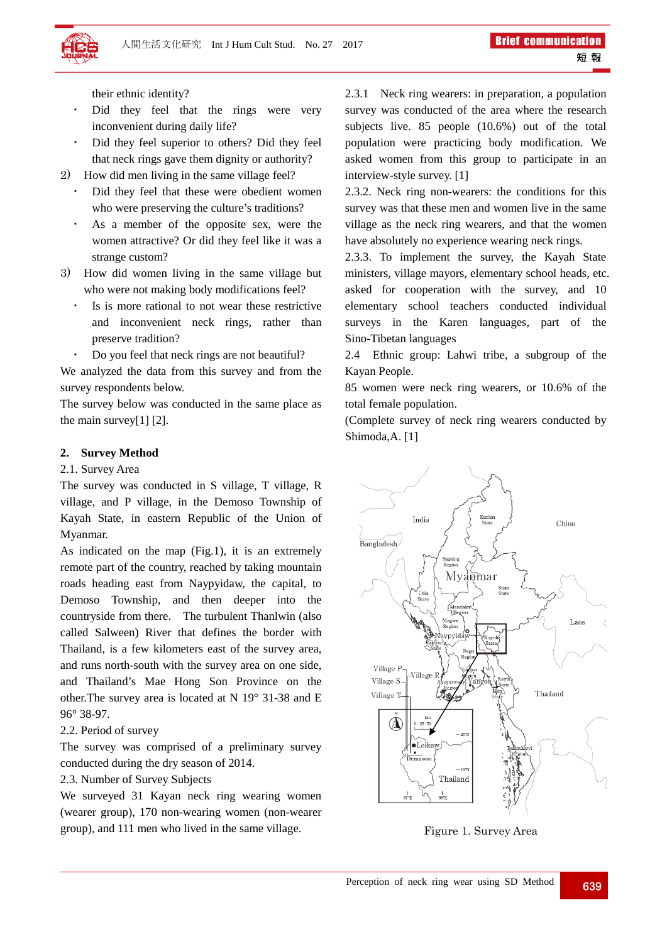their ethnic identity?

- Did they feel that the rings were very inconvenient during daily life?
- Did they feel superior to others? Did they feel that neck rings gave them dignity or authority?
- 2) How did men living in the same village feel?
	- Did they feel that these were obedient women who were preserving the culture's traditions?
	- As a member of the opposite sex, were the women attractive? Or did they feel like it was a strange custom?
- 3) How did women living in the same village but who were not making body modifications feel?
	- Is is more rational to not wear these restrictive and inconvenient neck rings, rather than preserve tradition?
	- Do you feel that neck rings are not beautiful?

We analyzed the data from this survey and from the survey respondents below.

The survey below was conducted in the same place as the main survey[1] [2].

# **2. Survey Method**

#### 2.1. Survey Area

The survey was conducted in S village, T village, R village, and P village, in the Demoso Township of Kayah State, in eastern Republic of the Union of Myanmar.

As indicated on the map (Fig.1), it is an extremely remote part of the country, reached by taking mountain roads heading east from Naypyidaw, the capital, to Demoso Township, and then deeper into the countryside from there. The turbulent Thanlwin (also called Salween) River that defines the border with Thailand, is a few kilometers east of the survey area, and runs north-south with the survey area on one side, and Thailand's Mae Hong Son Province on the other.The survey area is located at N 19° 31-38 and E 96° 38-97.

### 2.2. Period of survey

The survey was comprised of a preliminary survey conducted during the dry season of 2014.

### 2.3. Number of Survey Subjects

We surveyed 31 Kayan neck ring wearing women (wearer group), 170 non-wearing women (non-wearer group), and 111 men who lived in the same village.

2.3.1 Neck ring wearers: in preparation, a population survey was conducted of the area where the research subjects live. 85 people (10.6%) out of the total population were practicing body modification. We asked women from this group to participate in an interview-style survey. [1]

2.3.2. Neck ring non-wearers: the conditions for this survey was that these men and women live in the same village as the neck ring wearers, and that the women have absolutely no experience wearing neck rings.

2.3.3. To implement the survey, the Kayah State ministers, village mayors, elementary school heads, etc. asked for cooperation with the survey, and 10 elementary school teachers conducted individual surveys in the Karen languages, part of the Sino-Tibetan languages

2.4 Ethnic group: Lahwi tribe, a subgroup of the Kayan People.

85 women were neck ring wearers, or 10.6% of the total female population.

(Complete survey of neck ring wearers conducted by Shimoda,A. [1]



Figure 1. Survey Area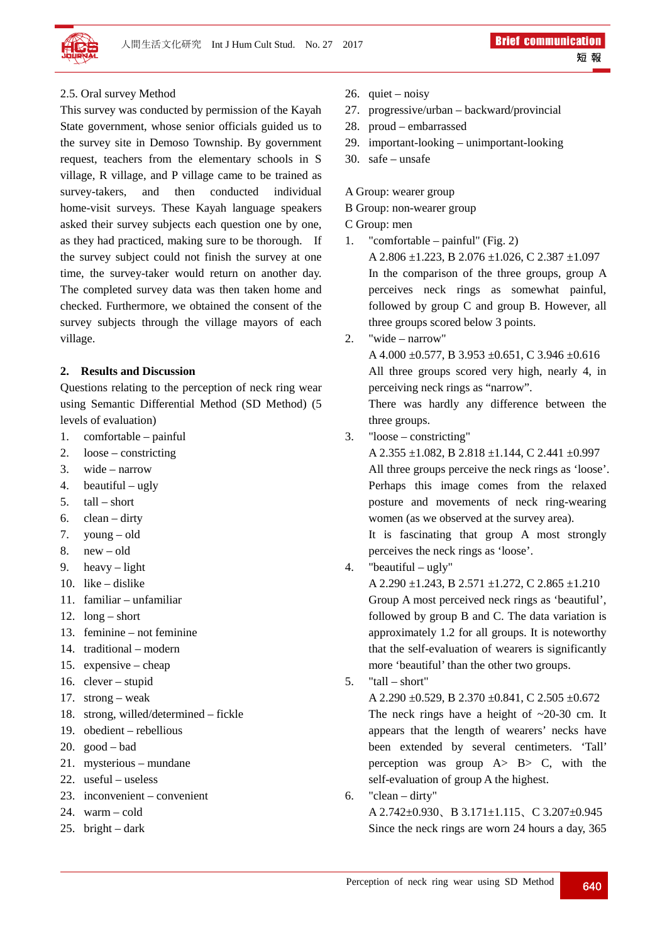

## 2.5. Oral survey Method

This survey was conducted by permission of the Kayah State government, whose senior officials guided us to the survey site in Demoso Township. By government request, teachers from the elementary schools in S village, R village, and P village came to be trained as survey-takers, and then conducted individual home-visit surveys. These Kayah language speakers asked their survey subjects each question one by one, as they had practiced, making sure to be thorough. If the survey subject could not finish the survey at one time, the survey-taker would return on another day. The completed survey data was then taken home and checked. Furthermore, we obtained the consent of the survey subjects through the village mayors of each village.

#### **2. Results and Discussion**

Questions relating to the perception of neck ring wear using Semantic Differential Method (SD Method) (5 levels of evaluation)

- 1. comfortable painful
- 2. loose constricting
- 3. wide narrow
- 4. beautiful ugly
- 5.  $tall short$
- 6. clean dirty
- 7. young old
- 8. new old
- 9. heavy light
- 10. like dislike
- 11. familiar unfamiliar
- 12. long short
- 13. feminine not feminine
- 14. traditional modern
- 15. expensive cheap
- 16. clever stupid
- 17. strong weak
- 18. strong, willed/determined fickle
- 19. obedient rebellious
- 20. good bad
- 21. mysterious mundane
- 22. useful useless
- 23. inconvenient convenient
- 24. warm cold
- 25. bright dark
- 26. quiet noisy
- 27. progressive/urban backward/provincial
- 28. proud embarrassed
- 29. important-looking unimportant-looking
- 30. safe unsafe

### A Group: wearer group

B Group: non-wearer group

## C Group: men

- 1. "comfortable painful" (Fig. 2) A 2.806 ±1.223, B 2.076 ±1.026, C 2.387 ±1.097 In the comparison of the three groups, group A perceives neck rings as somewhat painful, followed by group C and group B. However, all three groups scored below 3 points.
- 2. "wide narrow"

A  $4.000 + 0.577$ , B  $3.953 + 0.651$ , C  $3.946 + 0.616$ All three groups scored very high, nearly 4, in perceiving neck rings as "narrow".

There was hardly any difference between the three groups.

3. "loose – constricting"

A 2.355 ±1.082, B 2.818 ±1.144, C 2.441 ±0.997 All three groups perceive the neck rings as 'loose'. Perhaps this image comes from the relaxed posture and movements of neck ring-wearing women (as we observed at the survey area).

It is fascinating that group A most strongly perceives the neck rings as 'loose'.

4. "beautiful – ugly"

A 2.290  $\pm$ 1.243, B 2.571  $\pm$ 1.272, C 2.865  $\pm$ 1.210 Group A most perceived neck rings as 'beautiful', followed by group B and C. The data variation is approximately 1.2 for all groups. It is noteworthy that the self-evaluation of wearers is significantly more 'beautiful' than the other two groups.

 $5.$  "tall – short"

A 2.290 ±0.529, B 2.370 ±0.841, C 2.505 ±0.672 The neck rings have a height of  $\sim$ 20-30 cm. It appears that the length of wearers' necks have been extended by several centimeters. 'Tall' perception was group  $A > B > C$ , with the self-evaluation of group A the highest.

6. "clean – dirty" A 2.742±0.930、B 3.171±1.115、C 3.207±0.945 Since the neck rings are worn 24 hours a day, 365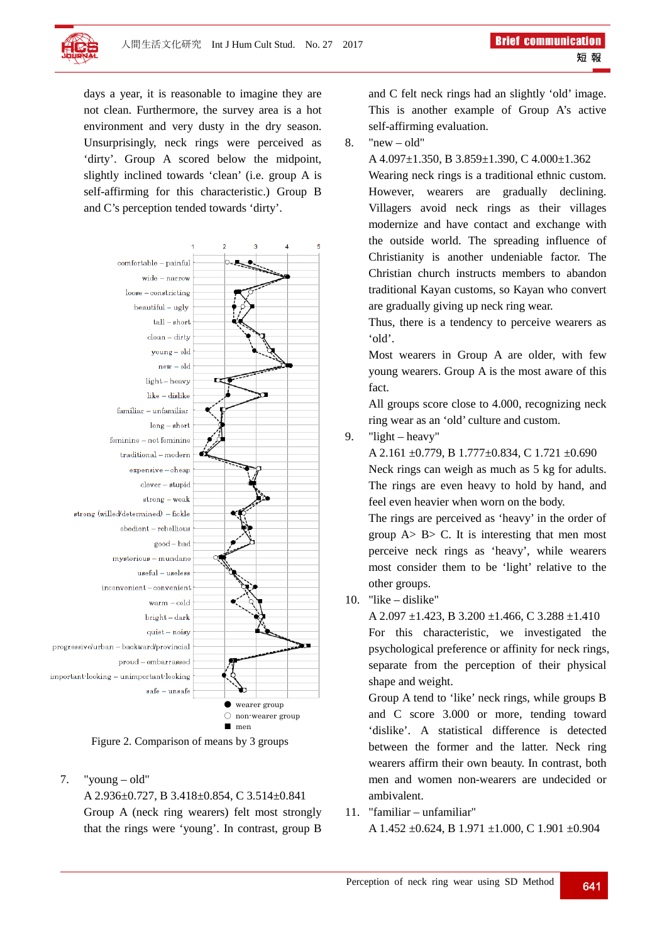

days a year, it is reasonable to imagine they are not clean. Furthermore, the survey area is a hot environment and very dusty in the dry season. Unsurprisingly, neck rings were perceived as 'dirty'. Group A scored below the midpoint, slightly inclined towards 'clean' (i.e. group A is self-affirming for this characteristic.) Group B and C's perception tended towards 'dirty'.



Figure 2. Comparison of means by 3 groups

7. "young – old"

A 2.936±0.727, B 3.418±0.854, C 3.514±0.841 Group A (neck ring wearers) felt most strongly that the rings were 'young'. In contrast, group B and C felt neck rings had an slightly 'old' image. This is another example of Group A's active self-affirming evaluation.

 $8.$  "new – old"

A 4.097±1.350, B 3.859±1.390, C 4.000±1.362

Wearing neck rings is a traditional ethnic custom. However, wearers are gradually declining. Villagers avoid neck rings as their villages modernize and have contact and exchange with the outside world. The spreading influence of Christianity is another undeniable factor. The Christian church instructs members to abandon traditional Kayan customs, so Kayan who convert are gradually giving up neck ring wear.

Thus, there is a tendency to perceive wearers as 'old'.

Most wearers in Group A are older, with few young wearers. Group A is the most aware of this fact.

All groups score close to 4.000, recognizing neck ring wear as an 'old' culture and custom.

9. "light – heavy"

A 2.161 ±0.779, B 1.777±0.834, C 1.721 ±0.690 Neck rings can weigh as much as 5 kg for adults. The rings are even heavy to hold by hand, and feel even heavier when worn on the body.

The rings are perceived as 'heavy' in the order of group  $A > B > C$ . It is interesting that men most perceive neck rings as 'heavy', while wearers most consider them to be 'light' relative to the other groups.

10. "like – dislike"

A 2.097  $\pm$ 1.423, B 3.200  $\pm$ 1.466, C 3.288  $\pm$ 1.410

For this characteristic, we investigated the psychological preference or affinity for neck rings, separate from the perception of their physical shape and weight.

Group A tend to 'like' neck rings, while groups B and C score 3.000 or more, tending toward 'dislike'. A statistical difference is detected between the former and the latter. Neck ring wearers affirm their own beauty. In contrast, both men and women non-wearers are undecided or ambivalent.

11. "familiar – unfamiliar"

A 1.452 ±0.624, B 1.971 ±1.000, C 1.901 ±0.904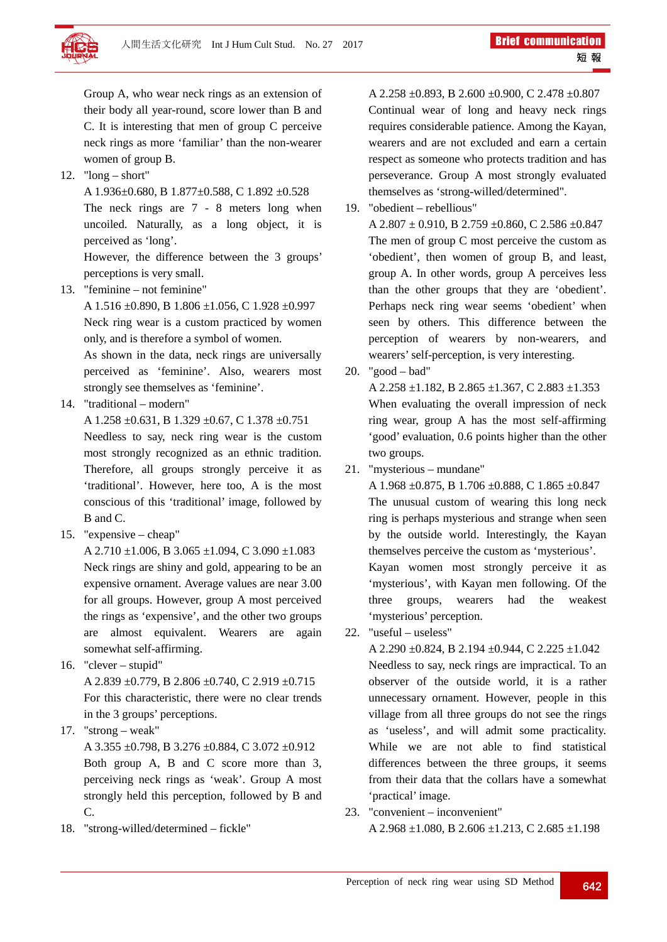

Group A, who wear neck rings as an extension of their body all year-round, score lower than B and C. It is interesting that men of group C perceive neck rings as more 'familiar' than the non-wearer women of group B.

- 12. "long short"
	- A 1.936±0.680, B 1.877±0.588, C 1.892 ±0.528

The neck rings are 7 - 8 meters long when uncoiled. Naturally, as a long object, it is perceived as 'long'.

However, the difference between the 3 groups' perceptions is very small.

13. "feminine – not feminine"

A 1.516 ±0.890, B 1.806 ±1.056, C 1.928 ±0.997 Neck ring wear is a custom practiced by women only, and is therefore a symbol of women.

As shown in the data, neck rings are universally perceived as 'feminine'. Also, wearers most strongly see themselves as 'feminine'.

14. "traditional – modern"

A 1.258 ±0.631, B 1.329 ±0.67, C 1.378 ±0.751

Needless to say, neck ring wear is the custom most strongly recognized as an ethnic tradition. Therefore, all groups strongly perceive it as 'traditional'. However, here too, A is the most conscious of this 'traditional' image, followed by B and C.

15. "expensive – cheap"

A 2.710  $\pm$ 1.006, B 3.065  $\pm$ 1.094, C 3.090  $\pm$ 1.083 Neck rings are shiny and gold, appearing to be an expensive ornament. Average values are near 3.00 for all groups. However, group A most perceived the rings as 'expensive', and the other two groups are almost equivalent. Wearers are again somewhat self-affirming.

16. "clever – stupid"

A 2.839 ±0.779, B 2.806 ±0.740, C 2.919 ±0.715 For this characteristic, there were no clear trends in the 3 groups' perceptions.

17. "strong – weak"

A 3.355 ±0.798, B 3.276 ±0.884, C 3.072 ±0.912 Both group A, B and C score more than 3, perceiving neck rings as 'weak'. Group A most strongly held this perception, followed by B and C.

18. "strong-willed/determined – fickle"

A 2.258 ±0.893, B 2.600 ±0.900, C 2.478 ±0.807 Continual wear of long and heavy neck rings requires considerable patience. Among the Kayan, wearers and are not excluded and earn a certain respect as someone who protects tradition and has perseverance. Group A most strongly evaluated themselves as 'strong-willed/determined".

19. "obedient – rebellious" A 2.807  $\pm$  0.910, B 2.759  $\pm$ 0.860, C 2.586  $\pm$ 0.847 The men of group C most perceive the custom as 'obedient', then women of group B, and least, group A. In other words, group A perceives less than the other groups that they are 'obedient'.

Perhaps neck ring wear seems 'obedient' when seen by others. This difference between the perception of wearers by non-wearers, and wearers' self-perception, is very interesting.

20. "good – bad"

A 2.258  $\pm$ 1.182, B 2.865  $\pm$ 1.367, C 2.883  $\pm$ 1.353 When evaluating the overall impression of neck ring wear, group A has the most self-affirming 'good' evaluation, 0.6 points higher than the other two groups.

21. "mysterious – mundane"

A 1.968 ±0.875, B 1.706 ±0.888, C 1.865 ±0.847 The unusual custom of wearing this long neck ring is perhaps mysterious and strange when seen by the outside world. Interestingly, the Kayan themselves perceive the custom as 'mysterious'. Kayan women most strongly perceive it as 'mysterious', with Kayan men following. Of the three groups, wearers had the weakest 'mysterious' perception.

22. "useful – useless"

A 2.290  $\pm$ 0.824, B 2.194  $\pm$ 0.944, C 2.225  $\pm$ 1.042 Needless to say, neck rings are impractical. To an observer of the outside world, it is a rather unnecessary ornament. However, people in this village from all three groups do not see the rings as 'useless', and will admit some practicality. While we are not able to find statistical differences between the three groups, it seems from their data that the collars have a somewhat 'practical' image.

23. "convenient – inconvenient" A 2.968  $\pm$ 1.080, B 2.606  $\pm$ 1.213, C 2.685  $\pm$ 1.198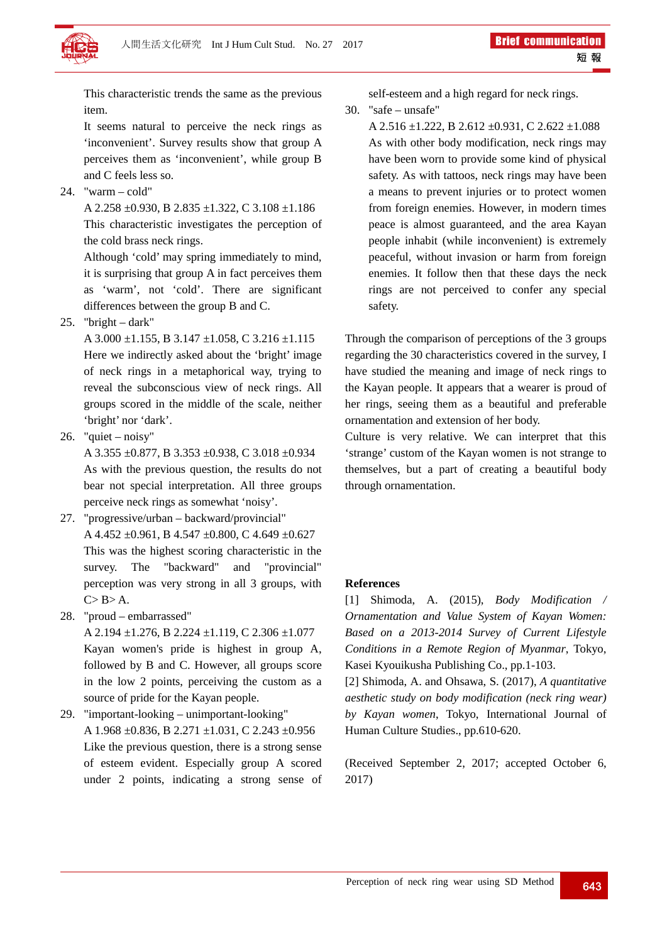

This characteristic trends the same as the previous item.

It seems natural to perceive the neck rings as 'inconvenient'. Survey results show that group A perceives them as 'inconvenient', while group B and C feels less so.

24. "warm – cold"

A 2.258 ±0.930, B 2.835 ±1.322, C 3.108 ±1.186 This characteristic investigates the perception of the cold brass neck rings.

Although 'cold' may spring immediately to mind, it is surprising that group A in fact perceives them as 'warm', not 'cold'. There are significant differences between the group B and C.

25. "bright – dark"

A  $3.000 \pm 1.155$ , B  $3.147 \pm 1.058$ , C  $3.216 \pm 1.115$ Here we indirectly asked about the 'bright' image of neck rings in a metaphorical way, trying to reveal the subconscious view of neck rings. All groups scored in the middle of the scale, neither 'bright' nor 'dark'.

26. "quiet – noisy"

A 3.355 ±0.877, B 3.353 ±0.938, C 3.018 ±0.934 As with the previous question, the results do not bear not special interpretation. All three groups perceive neck rings as somewhat 'noisy'.

- 27. "progressive/urban backward/provincial" A 4.452 ±0.961, B 4.547 ±0.800, C 4.649 ±0.627 This was the highest scoring characteristic in the survey. The "backward" and "provincial" perception was very strong in all 3 groups, with  $C > B > A$ .
- 28. "proud embarrassed"

A 2.194  $\pm$ 1.276, B 2.224  $\pm$ 1.119, C 2.306  $\pm$ 1.077 Kayan women's pride is highest in group A, followed by B and C. However, all groups score in the low 2 points, perceiving the custom as a source of pride for the Kayan people.

29. "important-looking – unimportant-looking" A 1.968 ±0.836, B 2.271 ±1.031, C 2.243 ±0.956 Like the previous question, there is a strong sense of esteem evident. Especially group A scored under 2 points, indicating a strong sense of self-esteem and a high regard for neck rings.

30. "safe – unsafe"

A 2.516  $\pm$ 1.222, B 2.612  $\pm$ 0.931, C 2.622  $\pm$ 1.088 As with other body modification, neck rings may have been worn to provide some kind of physical safety. As with tattoos, neck rings may have been a means to prevent injuries or to protect women from foreign enemies. However, in modern times peace is almost guaranteed, and the area Kayan people inhabit (while inconvenient) is extremely peaceful, without invasion or harm from foreign enemies. It follow then that these days the neck rings are not perceived to confer any special safety.

Through the comparison of perceptions of the 3 groups regarding the 30 characteristics covered in the survey, I have studied the meaning and image of neck rings to the Kayan people. It appears that a wearer is proud of her rings, seeing them as a beautiful and preferable ornamentation and extension of her body.

Culture is very relative. We can interpret that this 'strange' custom of the Kayan women is not strange to themselves, but a part of creating a beautiful body through ornamentation.

### **References**

[1] Shimoda, A. (2015), *Body Modification / Ornamentation and Value System of Kayan Women: Based on a 2013-2014 Survey of Current Lifestyle Conditions in a Remote Region of Myanmar*, Tokyo, Kasei Kyouikusha Publishing Co., pp.1-103.

[2] Shimoda, A. and Ohsawa, S. (2017), *A quantitative aesthetic study on body modification (neck ring wear) by Kayan women*, Tokyo, International Journal of Human Culture Studies., pp.610-620.

(Received September 2, 2017; accepted October 6, 2017)